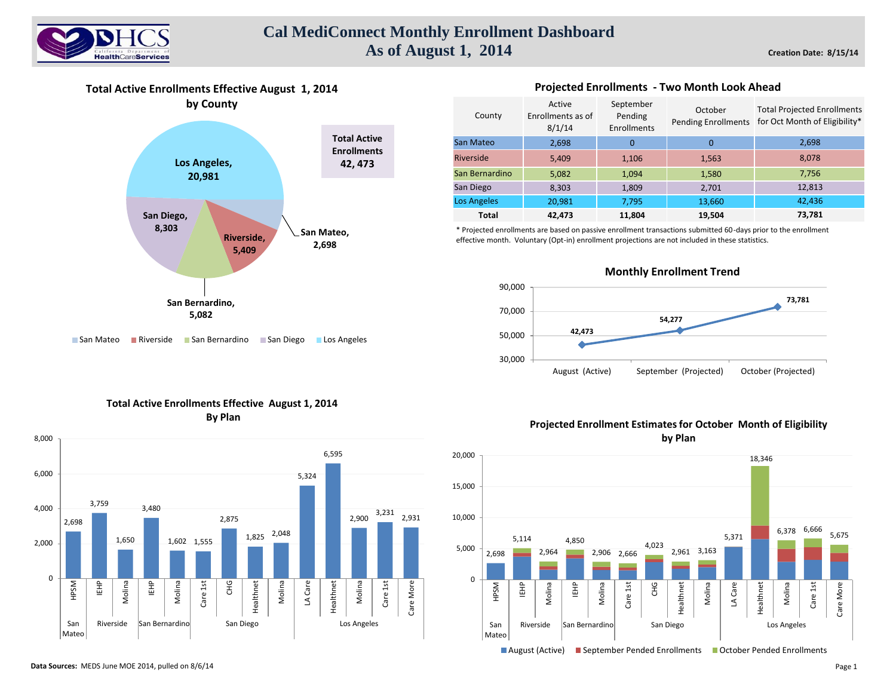

## **Cal MediConnect Monthly Enrollment Dashboard As of August 1, 2014**

**Total Active Enrollments Effective August 1, 2014 by County**



## ■ San Mateo ■ Riverside ■ San Bernardino ■ San Diego ■ Los Angeles

| County         | Active<br>Enrollments as of<br>8/1/14 | September<br>Pending<br>Enrollments | October<br><b>Pending Enrollments</b> | <b>Total Projected Enrollments</b><br>for Oct Month of Eligibility* |
|----------------|---------------------------------------|-------------------------------------|---------------------------------------|---------------------------------------------------------------------|
| San Mateo      | 2,698                                 | $\Omega$                            | 0                                     | 2,698                                                               |
| Riverside      | 5,409                                 | 1,106                               | 1,563                                 | 8,078                                                               |
| San Bernardino | 5,082                                 | 1,094                               | 1,580                                 | 7,756                                                               |
| San Diego      | 8,303                                 | 1,809                               | 2,701                                 | 12,813                                                              |
| Los Angeles    | 20,981                                | 7,795                               | 13,660                                | 42,436                                                              |
| Total          | 42.473                                | 11,804                              | 19,504                                | 73,781                                                              |

**Projected Enrollments - Two Month Look Ahead** 

\* Projected enrollments are based on passive enrollment transactions submitted 60-days prior to the enrollment effective month. Voluntary (Opt-in) enrollment projections are not included in these statistics.



## **Monthly Enrollment Trend**





## **Projected Enrollment Estimates for October Month of Eligibility by Plan**